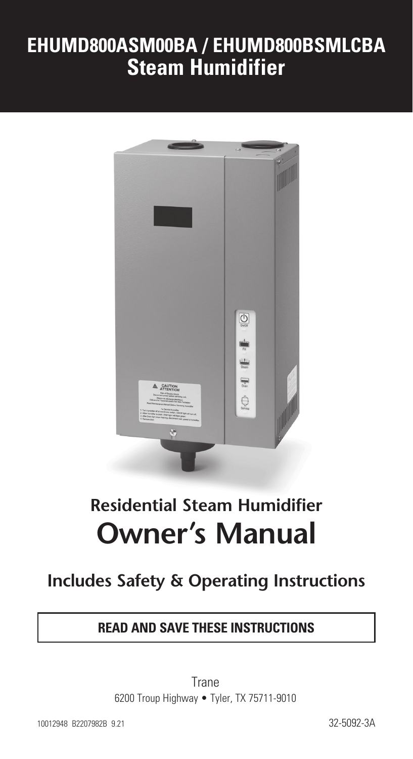# **EHUMD800ASM00BA / EHUMD800BSMLCBA Steam Humidifier**



# **Residential Steam Humidifier Owner's Manual**

# **Includes Safety & Operating Instructions**

#### **READ AND SAVE THESE INSTRUCTIONS**

Trane 6200 Troup Highway • Tyler, TX 75711-9010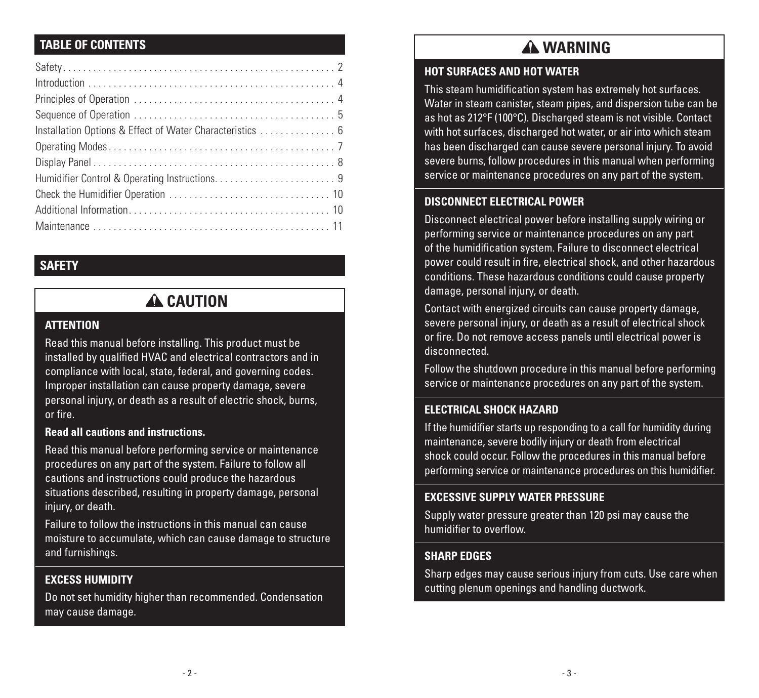#### **TABLE OF CONTENTS**

#### **SAFETY**

## **A** CAUTION

#### **ATTENTION**

Read this manual before installing. This product must be installed by qualified HVAC and electrical contractors and in compliance with local, state, federal, and governing codes. Improper installation can cause property damage, severe personal injury, or death as a result of electric shock, burns, or fire.

#### **Read all cautions and instructions.**

Read this manual before performing service or maintenance procedures on any part of the system. Failure to follow all cautions and instructions could produce the hazardous situations described, resulting in property damage, personal iniury, or death.

Failure to follow the instructions in this manual can cause moisture to accumulate, which can cause damage to structure and furnishings.

#### **EXCESS HUMIDITY**

Do not set humidity higher than recommended. Condensation may cause damage.

# **WARNING**

#### **HOT SURFACES AND HOT WATER**

This steam humidification system has extremely hot surfaces. Water in steam canister, steam pipes, and dispersion tube can be as hot as 212°F (100°C). Discharged steam is not visible. Contact with hot surfaces, discharged hot water, or air into which steam has been discharged can cause severe personal injury. To avoid severe burns, follow procedures in this manual when performing service or maintenance procedures on any part of the system.

#### **DISCONNECT ELECTRICAL POWER**

Disconnect electrical power before installing supply wiring or performing service or maintenance procedures on any part of the humidification system. Failure to disconnect electrical power could result in fire, electrical shock, and other hazardous conditions. These hazardous conditions could cause property damage, personal injury, or death.

Contact with energized circuits can cause property damage, severe personal injury, or death as a result of electrical shock or fire. Do not remove access panels until electrical power is disconnected.

Follow the shutdown procedure in this manual before performing service or maintenance procedures on any part of the system.

#### **ELECTRICAL SHOCK HAZARD**

If the humidifier starts up responding to a call for humidity during maintenance, severe bodily injury or death from electrical shock could occur. Follow the procedures in this manual before performing service or maintenance procedures on this humidifier.

#### **EXCESSIVE SUPPLY WATER PRESSURE**

Supply water pressure greater than 120 psi may cause the humidifier to overflow.

#### **SHARP EDGES**

Sharp edges may cause serious injury from cuts. Use care when cutting plenum openings and handling ductwork.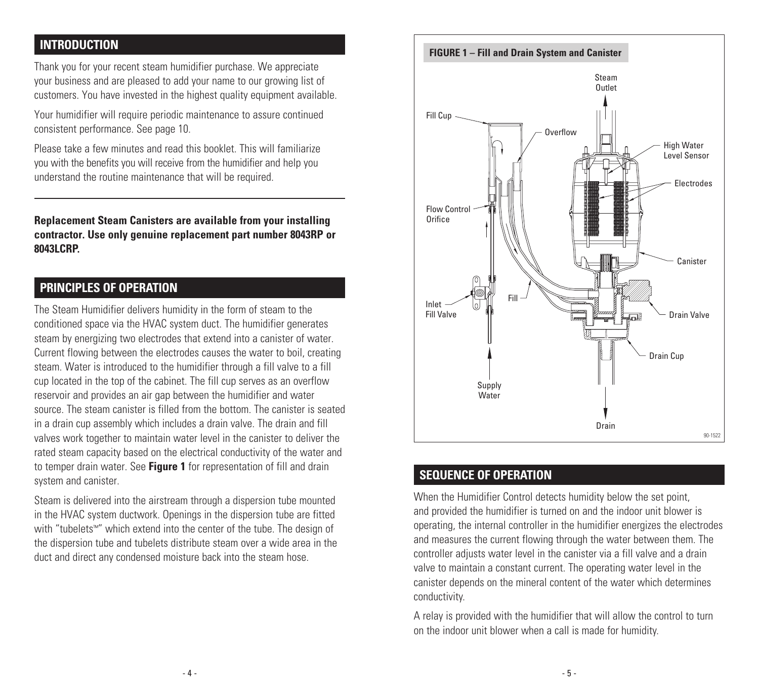#### **INTRODUCTION**

Thank you for your recent steam humidifier purchase. We appreciate your business and are pleased to add your name to our growing list of customers. You have invested in the highest quality equipment available.

Your humidifier will require periodic maintenance to assure continued consistent performance. See page 10.

Please take a few minutes and read this booklet. This will familiarize you with the benefits you will receive from the humidifier and help you understand the routine maintenance that will be required.

**Replacement Steam Canisters are available from your installing contractor. Use only genuine replacement part number 8043RP or 8043LCRP.** 

#### **PRINCIPLES OF OPERATION**

The Steam Humidifier delivers humidity in the form of steam to the conditioned space via the HVAC system duct. The humidifier generates steam by energizing two electrodes that extend into a canister of water. Current flowing between the electrodes causes the water to boil, creating steam. Water is introduced to the humidifier through a fill valve to a fill cup located in the top of the cabinet. The fill cup serves as an overflow reservoir and provides an air gap between the humidifier and water source. The steam canister is filled from the bottom. The canister is seated in a drain cup assembly which includes a drain valve. The drain and fill valves work together to maintain water level in the canister to deliver the rated steam capacity based on the electrical conductivity of the water and to temper drain water. See **Figure 1** for representation of fill and drain system and canister.

Steam is delivered into the airstream through a dispersion tube mounted in the HVAC system ductwork. Openings in the dispersion tube are fitted with "tubelets™" which extend into the center of the tube. The design of the dispersion tube and tubelets distribute steam over a wide area in the duct and direct any condensed moisture back into the steam hose.



#### **SEQUENCE OF OPERATION**

When the Humidifier Control detects humidity below the set point, and provided the humidifier is turned on and the indoor unit blower is operating, the internal controller in the humidifier energizes the electrodes and measures the current flowing through the water between them. The controller adjusts water level in the canister via a fill valve and a drain valve to maintain a constant current. The operating water level in the canister depends on the mineral content of the water which determines conductivity.

A relay is provided with the humidifier that will allow the control to turn on the indoor unit blower when a call is made for humidity.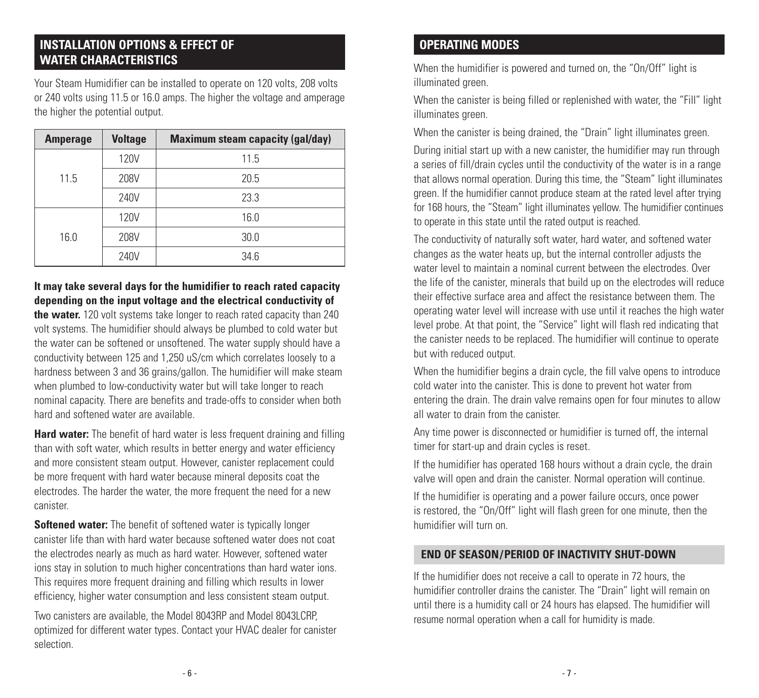# **INSTALLATION OPTIONS & EFFECT OF**

Your Steam Humidifier can be installed to operate on 120 volts, 208 volts or 240 volts using 11.5 or 16.0 amps. The higher the voltage and amperage the higher the potential output.

| <b>Amperage</b> | <b>Voltage</b> | <b>Maximum steam capacity (gal/day)</b> |
|-----------------|----------------|-----------------------------------------|
| 11.5            | 120V           | 11.5                                    |
|                 | 208V           | 20.5                                    |
|                 | 240V           | 23.3                                    |
|                 | 120V           | 16.0                                    |
| 16.0            | 208V           | 30.0                                    |
|                 | 240V           | 34.6                                    |

**It may take several days for the humidifier to reach rated capacity depending on the input voltage and the electrical conductivity of** 

**the water.** 120 volt systems take longer to reach rated capacity than 240 volt systems. The humidifier should always be plumbed to cold water but the water can be softened or unsoftened. The water supply should have a conductivity between 125 and 1,250 uS/cm which correlates loosely to a hardness between 3 and 36 grains/gallon. The humidifier will make steam when plumbed to low-conductivity water but will take longer to reach nominal capacity. There are benefits and trade-offs to consider when both hard and softened water are available.

**Hard water:** The benefit of hard water is less frequent draining and filling than with soft water, which results in better energy and water efficiency and more consistent steam output. However, canister replacement could be more frequent with hard water because mineral deposits coat the electrodes. The harder the water, the more frequent the need for a new canister.

**Softened water:** The benefit of softened water is typically longer canister life than with hard water because softened water does not coat the electrodes nearly as much as hard water. However, softened water ions stay in solution to much higher concentrations than hard water ions. This requires more frequent draining and filling which results in lower efficiency, higher water consumption and less consistent steam output.

Two canisters are available, the Model 8043RP and Model 8043LCRP, optimized for different water types. Contact your HVAC dealer for canister selection.

#### **OPERATING MODES**

When the humidifier is powered and turned on, the "On/Off" light is illuminated green.

When the canister is being filled or replenished with water, the "Fill" light illuminates green.

When the canister is being drained, the "Drain" light illuminates green.

During initial start up with a new canister, the humidifier may run through a series of fill/drain cycles until the conductivity of the water is in a range that allows normal operation. During this time, the "Steam" light illuminates green. If the humidifier cannot produce steam at the rated level after trying for 168 hours, the "Steam" light illuminates yellow. The humidifier continues to operate in this state until the rated output is reached.

The conductivity of naturally soft water, hard water, and softened water changes as the water heats up, but the internal controller adjusts the water level to maintain a nominal current between the electrodes. Over the life of the canister, minerals that build up on the electrodes will reduce their effective surface area and affect the resistance between them. The operating water level will increase with use until it reaches the high water level probe. At that point, the "Service" light will flash red indicating that the canister needs to be replaced. The humidifier will continue to operate but with reduced output.

When the humidifier begins a drain cycle, the fill valve opens to introduce cold water into the canister. This is done to prevent hot water from entering the drain. The drain valve remains open for four minutes to allow all water to drain from the canister.

Any time power is disconnected or humidifier is turned off, the internal timer for start-up and drain cycles is reset.

If the humidifier has operated 168 hours without a drain cycle, the drain valve will open and drain the canister. Normal operation will continue.

If the humidifier is operating and a power failure occurs, once power is restored, the "On/Off" light will flash green for one minute, then the humidifier will turn on.

#### **END OF SEASON/PERIOD OF INACTIVITY SHUT-DOWN**

If the humidifier does not receive a call to operate in 72 hours, the humidifier controller drains the canister. The "Drain" light will remain on until there is a humidity call or 24 hours has elapsed. The humidifier will resume normal operation when a call for humidity is made.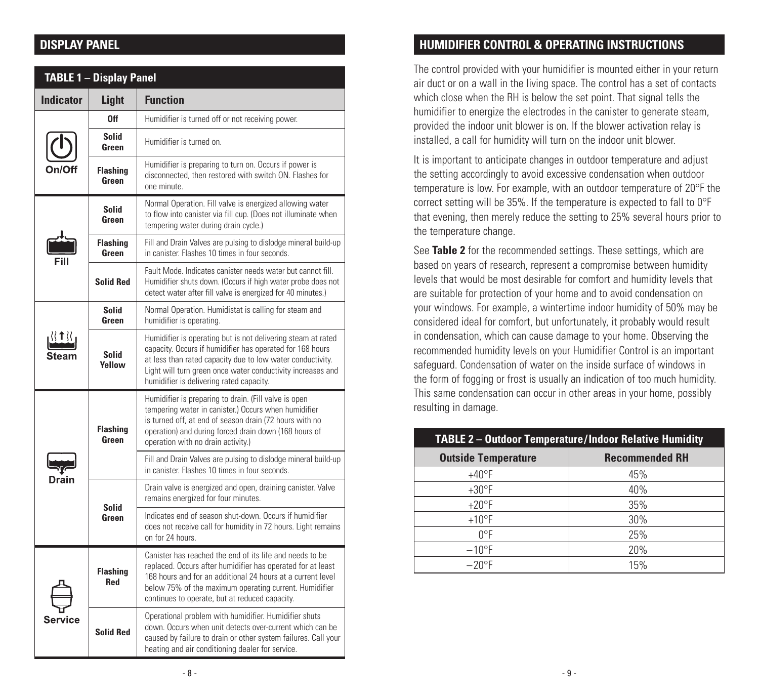#### **DISPLAY PANEL**

| <b>TABLE 1 - Display Panel</b> |                               |                                                                                                                                                                                                                                                                                                    |
|--------------------------------|-------------------------------|----------------------------------------------------------------------------------------------------------------------------------------------------------------------------------------------------------------------------------------------------------------------------------------------------|
| <b>Indicator</b>               | Light                         | <b>Function</b>                                                                                                                                                                                                                                                                                    |
|                                | 0ff                           | Humidifier is turned off or not receiving power.                                                                                                                                                                                                                                                   |
|                                | Solid<br>Green                | Humidifier is turned on.                                                                                                                                                                                                                                                                           |
|                                | <b>Flashing</b><br>Green      | Humidifier is preparing to turn on. Occurs if power is<br>disconnected, then restored with switch ON. Flashes for<br>one minute.                                                                                                                                                                   |
|                                | <b>Solid</b><br>Green         | Normal Operation. Fill valve is energized allowing water<br>to flow into canister via fill cup. (Does not illuminate when<br>tempering water during drain cycle.)                                                                                                                                  |
|                                | <b>Flashing</b><br>Green      | Fill and Drain Valves are pulsing to dislodge mineral build-up<br>in canister. Flashes 10 times in four seconds.                                                                                                                                                                                   |
|                                | <b>Solid Red</b>              | Fault Mode, Indicates canister needs water but cannot fill.<br>Humidifier shuts down. (Occurs if high water probe does not<br>detect water after fill valve is energized for 40 minutes.)                                                                                                          |
|                                | <b>Solid</b><br>Green         | Normal Operation. Humidistat is calling for steam and<br>humidifier is operating.                                                                                                                                                                                                                  |
|                                | <b>Solid</b><br>Yellow        | Humidifier is operating but is not delivering steam at rated<br>capacity. Occurs if humidifier has operated for 168 hours<br>at less than rated capacity due to low water conductivity.<br>Light will turn green once water conductivity increases and<br>humidifier is delivering rated capacity. |
| Drair                          | <b>Flashing</b><br>Green      | Humidifier is preparing to drain. (Fill valve is open<br>tempering water in canister.) Occurs when humidifier<br>is turned off, at end of season drain (72 hours with no<br>operation) and during forced drain down (168 hours of<br>operation with no drain activity.)                            |
|                                |                               | Fill and Drain Valves are pulsing to dislodge mineral build-up<br>in canister. Flashes 10 times in four seconds.                                                                                                                                                                                   |
|                                | <b>Solid</b><br>Green         | Drain valve is energized and open, draining canister. Valve<br>remains energized for four minutes.                                                                                                                                                                                                 |
|                                |                               | Indicates end of season shut-down. Occurs if humidifier<br>does not receive call for humidity in 72 hours. Light remains<br>on for 24 hours.                                                                                                                                                       |
| Service                        | <b>Flashing</b><br><b>Red</b> | Canister has reached the end of its life and needs to be<br>replaced. Occurs after humidifier has operated for at least<br>168 hours and for an additional 24 hours at a current level<br>below 75% of the maximum operating current. Humidifier<br>continues to operate, but at reduced capacity. |
|                                | <b>Solid Red</b>              | Operational problem with humidifier. Humidifier shuts<br>down. Occurs when unit detects over-current which can be<br>caused by failure to drain or other system failures. Call your<br>heating and air conditioning dealer for service.                                                            |

### **HUMIDIFIER CONTROL & OPERATING INSTRUCTIONS**

The control provided with your humidifier is mounted either in your return air duct or on a wall in the living space. The control has a set of contacts which close when the RH is below the set point. That signal tells the humidifier to energize the electrodes in the canister to generate steam, provided the indoor unit blower is on. If the blower activation relay is installed, a call for humidity will turn on the indoor unit blower.

It is important to anticipate changes in outdoor temperature and adjust the setting accordingly to avoid excessive condensation when outdoor temperature is low. For example, with an outdoor temperature of 20°F the correct setting will be 35%. If the temperature is expected to fall to 0°F that evening, then merely reduce the setting to 25% several hours prior to the temperature change.

See **Table 2** for the recommended settings. These settings, which are based on years of research, represent a compromise between humidity levels that would be most desirable for comfort and humidity levels that are suitable for protection of your home and to avoid condensation on your windows. For example, a wintertime indoor humidity of 50% may be considered ideal for comfort, but unfortunately, it probably would result in condensation, which can cause damage to your home. Observing the recommended humidity levels on your Humidifier Control is an important safeguard. Condensation of water on the inside surface of windows in the form of fogging or frost is usually an indication of too much humidity. This same condensation can occur in other areas in your home, possibly resulting in damage.

|                            | <b>TABLE 2 - Outdoor Temperature/Indoor Relative Humidity</b> |
|----------------------------|---------------------------------------------------------------|
| <b>Outside Temperature</b> | <b>Recommended RH</b>                                         |
| $+40^{\circ}F$             | 45%                                                           |
| $+30^{\circ}$ F            | 40%                                                           |
| $+20$ °F                   | 35%                                                           |
| $+10$ °F                   | 30%                                                           |
| ∩°F                        | 25%                                                           |
| $-10$ °F                   | 20%                                                           |
| $-20$ °F                   | 15%                                                           |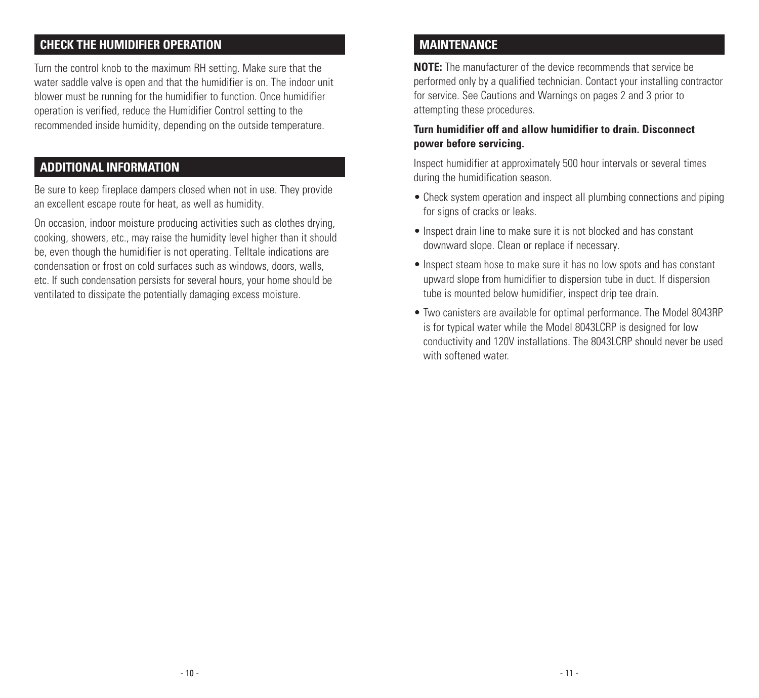### **CHECK THE HUMIDIFIER OPERATION**

Turn the control knob to the maximum RH setting. Make sure that the water saddle valve is open and that the humidifier is on. The indoor unit blower must be running for the humidifier to function. Once humidifier operation is verified, reduce the Humidifier Control setting to the recommended inside humidity, depending on the outside temperature.

#### **ADDITIONAL INFORMATION**

Be sure to keep fireplace dampers closed when not in use. They provide an excellent escape route for heat, as well as humidity.

On occasion, indoor moisture producing activities such as clothes drying, cooking, showers, etc., may raise the humidity level higher than it should be, even though the humidifier is not operating. Telltale indications are condensation or frost on cold surfaces such as windows, doors, walls, etc. If such condensation persists for several hours, your home should be ventilated to dissipate the potentially damaging excess moisture.

#### **MAINTENANCE**

**NOTE:** The manufacturer of the device recommends that service be performed only by a qualified technician. Contact your installing contractor for service. See Cautions and Warnings on pages 2 and 3 prior to attempting these procedures.

#### **Turn humidifier off and allow humidifier to drain. Disconnect power before servicing.**

Inspect humidifier at approximately 500 hour intervals or several times during the humidification season.

- Check system operation and inspect all plumbing connections and piping for signs of cracks or leaks.
- Inspect drain line to make sure it is not blocked and has constant downward slope. Clean or replace if necessary.
- Inspect steam hose to make sure it has no low spots and has constant upward slope from humidifier to dispersion tube in duct. If dispersion tube is mounted below humidifier, inspect drip tee drain.
- Two canisters are available for optimal performance. The Model 8043RP is for typical water while the Model 8043LCRP is designed for low conductivity and 120V installations. The 8043LCRP should never be used with softened water.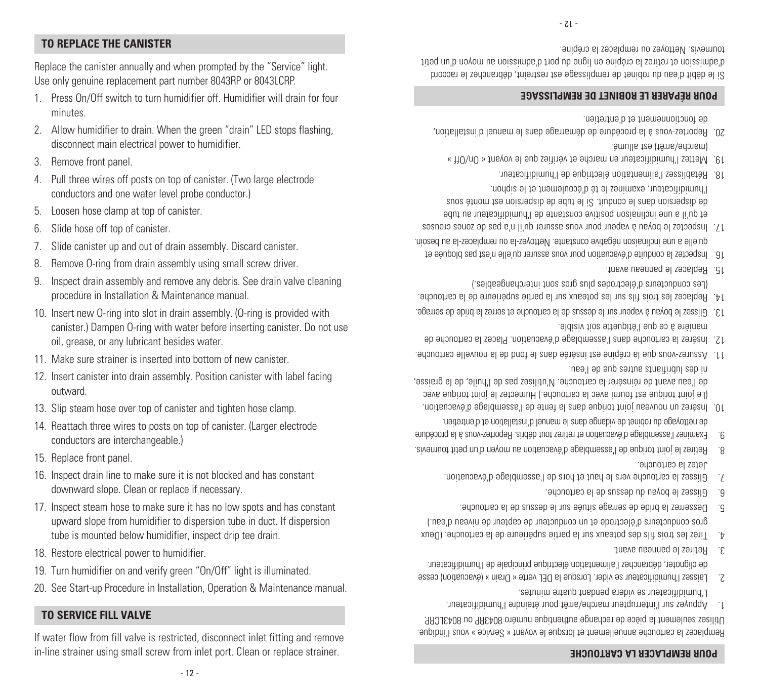#### If water flow from fill valve is restricted, disconnect inlet fitting and remove in-line strainer using small screw from inlet port. Clean or replace strainer.

20. See Start-up Procedure in Installation, Operation & Maintenance manual.

Remplacez la cartouche annuellement et lorsque le voyant « Service » vous l'indique. . seulement la pièce de rechange authentique numéro 8043RP ou 8043LCRP Utilisez

- marche arrière l'arrèt pour marche/arret pour eteindre l'humidificateur. L'humidificateur se videra pendant quatre minutes.
- Laissez l'humidificateur se vider. Lorsque la DEL verte « Drain » (évacuation) cesse 2. de clignoter, débranchez l'alimentation électrique principale de l'humidificateur.
- 3. Retirez le panneau avant.
- $F$ irez les trois fils des poteaux sur la partie supérieure de la cartouche. (Deux gros conducteurs d'électrode et un conducteur de capteur de niveau d'eau.)
- Desserrez la bride de serrage située sur le dessus de la cartouche. 5.
- G. Glissez le boyau du dessus de la cartouche.

**POUR REMPLACER LA CARTOUCHE**

- Glissez la cartouche vers le haut et hors de l'assemblage d'évacuation. 7. Jetez la cartouche.
- Retirez le joint torique de l'assemblage d'évacuation au moyen d'un petit tournevis. 8.
- Examinez l'assemblage d'évacuation et retirez tout débris. Reportez-vous à la procédure 9. de nettoyage du robinet de vidange dans le panuel d'installation de d'entretien.
- Insérez un nouveau joint torique dans la fente de l'assemblage d'évacuation. 10. (Le joint torique est fourni avec la cartouche.) Humectez le joint torique avec de l'eau avant de réinsérer la cartouche. N'utilisez pas de l'huile, de la graisse, ni des lubrifiants autres que de l'eau.
- Assurez-vous que la crépine est insérée dans le fond de la nouvelle cartouche. 11.
- I2. Insérez la cartouche dans l'assemblage d'évacuation. Placez la cartouche de manière à ce que l'étiquette soit visible.
- Glissez le boyau à vapeur sur le dessus de la cartouche et serrez la bride de serrage. 13.
- Replacez les trois fils sur les poteaux sur la partie supérieure de la cartouche. 14. (Les conducteurs d'électrodes plus gros sont interchangeables.)
- Replacez le panneau avant. 15.
- I6. Inspectez la conduite d'évacuation pour vous assurer qu'elle n'est pas bloquée et qu'elle a une inclinaison négative constante. Nettoyez-la ou remplacez-la au besoin.
- Il : Inspectez le boyau à vapeur pour vous assurer qu'il n'a pas de zones creuses et qu'il a une inclinaison positive constante de l'humidificateur au tube de dispersion dans le conduit. Si le tube de dispersion est monté sous l'humidificateur, examinez le té d'écoulement et le siphon.
- Rétablissez l'alimentation électrique de l'humidificateur. 18.
- Mettez l'humidificateur en marche et vérifiez que le voyant « On/Off » 19. (marche/arrêt) est allumé.
- zu. Heportez-vous à la procédure de démarrage dans le manuel d'installation, . de fonctionnement et d'entretien

#### **POUR RÉPARER LE ROBINET DE REMPLISSAGE**

Si le débit d'eau du robinet de remplissage est restreint, débranchez le raccord diad nu'b neyom us roussimbe'b tioq ub engli ne eniqère si senten te noissimbe'b tournevis. Nettoyez ou remplacez la crépine.

 $-71 -$ 

**TO REPLACE THE CANISTER**

minutes.

outward.

15. Replace front panel.

3. Remove front panel.

Replace the canister annually and when prompted by the "Service" light. Use only genuine replacement part number 8043RP or 8043LCRP.

1. Press On/Off switch to turn humidifier off. Humidifier will drain for four

2. Allow humidifier to drain. When the green "drain" LED stops flashing,

4. Pull three wires off posts on top of canister. (Two large electrode

disconnect main electrical power to humidifier.

conductors and one water level probe conductor.)

procedure in Installation & Maintenance manual.

5. Loosen hose clamp at top of canister.

conductors are interchangeable.)

18. Restore electrical power to humidifier.

**TO SERVICE FILL VALVE**

6. Slide hose off top of canister.

# 10. Insert new O-ring into slot in drain assembly. (O-ring is provided with

9. Inspect drain assembly and remove any debris. See drain valve cleaning

- 
- oil, grease, or any lubricant besides water.
- 11. Make sure strainer is inserted into bottom of new canister.
- 
- 
- canister.) Dampen O-ring with water before inserting canister. Do not use
- 
- 
- 

12. Insert canister into drain assembly. Position canister with label facing

- 
- 
- 

13. Slip steam hose over top of canister and tighten hose clamp. 14. Reattach three wires to posts on top of canister. (Larger electrode

16. Inspect drain line to make sure it is not blocked and has constant

tube is mounted below humidifier, inspect drip tee drain.

19. Turn humidifier on and verify green "On/Off" light is illuminated.

17. Inspect steam hose to make sure it has no low spots and has constant upward slope from humidifier to dispersion tube in duct. If dispersion

downward slope. Clean or replace if necessary.

- 
- 

7. Slide canister up and out of drain assembly. Discard canister. 8. Remove O-ring from drain assembly using small screw driver.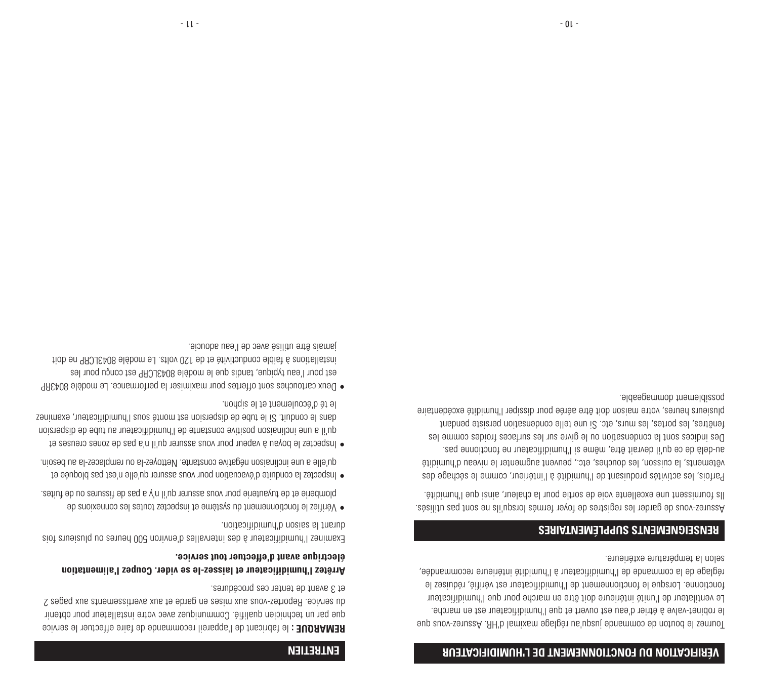#### **VÉRIFICATION DU FONCTIONNEMENT DE L'HUMIDIFICATEUR**

Tournez le bouton de commande jusqu'au réglage maximal d'HR. Assurez-vous que le robinet-valve à étrier d'eau est ouvert et que l'humidificateur est en marche. Le ventilateur de l'unité intérieure doit être en marche pour que l'humidificateur fonctionne. Lorsque le fonctionnement de l'humidificateur est vérifié, réduisez le réglage de la commande de l'humidificateur à l'humidité intérieure recommandée, selon la température extérieure.

#### **RENSEIGNEMENTS SUPPLÉMENTAIRES**

Assurez-vous de garder les registres de foyer fermés lorsqu'ils ne sont pas utilisés. Ils fournissent une excellente voie de sortie pour la chaleur, ainsi que l'humidité.

Parfois, les activités produisant de l'humidité à l'intérieur, comme le séchage des vêtements, la cuisson, les douches, etc., peuvent augmenter le niveau d'humidité au-delà de ce qu'il devrait être, même si l'humidificateur ne fonctionne pas. Des indices sont la condensation ou le givre sur les surfaces froides comme les fenêtres, les portes, les murs, etc. Si une telle condensation persiste pendant plusieurs heures, votre maison doit être aérée pour dissiper l'humidité excédentaire possiblement dommageable.

#### **ENTRETIEN**

 le fabricant de l'appareil recommande de faire effectuer le service **REMARQUE :** que par un technicien qualifié. Communiquez avec votre installateur pour obtenir du service. Reportez-vous aux mises en garde et aux avertissements aux pages 2 et 3 avant de tenter ces procédures.

#### Arrêtez l'humidificateur et laissez-le se vider. Coupe<sup>r</sup>l alimentation **électrique avant d'effectuer tout service.**

Examinez l'humidificateur à des intervalles d'environ 500 heures ou plusieurs fois durant la saison d'humidification.

- Vérifiez le fonctionnement du système et inspectez toutes les connexions de plomberie et de tuyauterie pour vous assurer qu'il n'y a pas de fissures ou de fuites.
- Inspectez la conduite d'évacuation pour vous assurer qu'elle n'est pas bloquée et qu'elle a une inclinaison négative constante. Nettoyez-la ou remplacez-la au besoin.
- Inspectez le boyau à vapeur pour vous assurer qu'il n'a pas de zones creuses et qu'il a une inclinaison positive constante de l'humidificateur au tube de dispersion dans le conduit. Si le tube de dispersion est monté sous l'humidificateur, examinez le té d'écoulement et le siphon.
- Deux cartouches sont offertes pour maximiser la performance. Le modèle 8043RP est pour l'eau typique, tandis que le modèle 8043LCRP est conçu pour les installations à faible conductivité et de 120 volts. Le modèle 8043LCRP ne doit jamais être utilisé avec de l'eau adoucie.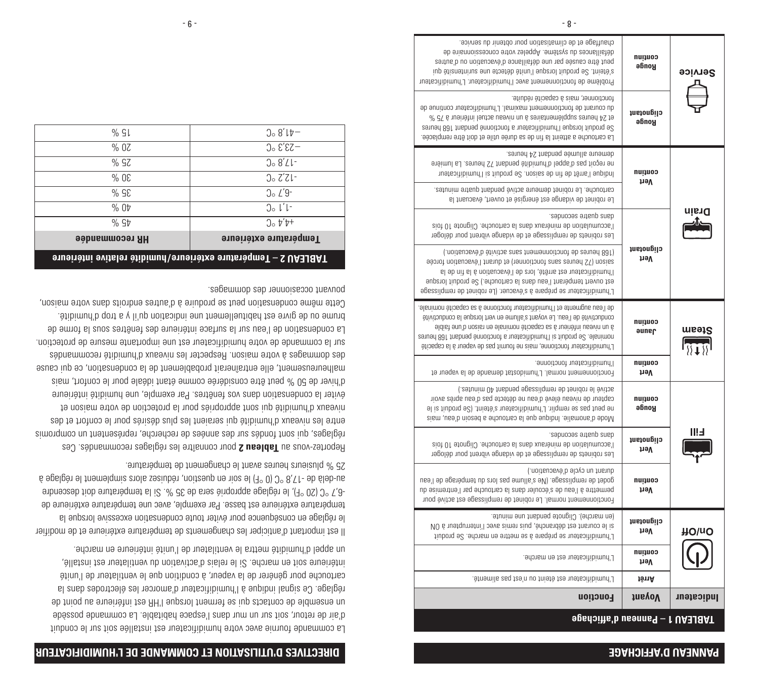#### **PANNEAU D'AFFICHAGE**

| Service      | continu<br>Rouge    | chauffage et de climatisation pour obtenir du service.<br>sb svisnnoizzeonop sytema salaqqA .smétzyz ub zeonsllistèb<br>peut être causée par une défaillance d'évacuation ou d'autres<br>s'éteint. Se produit lorsque l'unité détecte une surintensité qui<br>Problème de fonctionnement avec l'humidificateur. L'humidificateur                                             |
|--------------|---------------------|------------------------------------------------------------------------------------------------------------------------------------------------------------------------------------------------------------------------------------------------------------------------------------------------------------------------------------------------------------------------------|
|              | clignotant<br>Rouge | fonctionner, mais à capacité réduite.<br>du courant de fonctionnement maximal. L'humidificateur continue de<br>R 34 heures supplémentaires à un niveau actuel inférieur à 75 %<br>Se produit lorsque l'humidificateur a fonctionné pendant 168 heures<br>La cartouche a atteint la fin uènde saint est doit semplacée.                                                       |
|              | continu             | demeure allumée pendant 24 heures.<br>eneimul sJ. senuen ST trashed etibimunt'b leqqa'b zaq tiogen en<br>Indique l'arte de fin de saison. Se produit si l'humidificateur                                                                                                                                                                                                     |
|              | həV                 | cartouche. Le robinet demeure activé pendant quatre minutes.<br>Le robinet de vidange est énergisé et ouvert, évacuant la                                                                                                                                                                                                                                                    |
| nisıC        |                     | and quatre secondes.<br>eiot 01 etongilO .edouotres el ensb xustènim eb noitelumusse'l<br>Les robinets de remplissage et de vidange vibrent pour déloger                                                                                                                                                                                                                     |
|              | clignotant<br>həV   | (.noitsubsvà'b àtivites anse themannoitenet ab sanuend 801)<br>saison (72 heures sans fonctionner) et durant l'évacuation forcée<br>I'humidificateur est amété, lors de l'évacuation à la fin de la<br>est ouvert tempérant l'eau dans la cartouche.) Se produit lorsque<br>L'humidificateur se prépare à s'évacuer. (Le robinet de remplissage                              |
| $\sqrt{10}$  | continu<br>Jaune    | de l'eau augmente et l'humidificator fonctionne à sa capacité nominale.<br>étivitoubnoo sl superol trav na amulle's trisyov al .usa'l ab àtivitoubnoo<br>aldist enu'b nozist ne elsnimon étipsqso sa 6 tueitétni usevin nu 6<br>zerush 881 trabneq ennoitonot a trustactionne pendant 168 heures<br>L'humidificateur fonctionne, mais ne fournit pas de vapeur à la capacité |
|              | continu<br>həV      | Ihumidificateur fonctionne.<br>Fonctionnement normal. L'humidostat demande de la vapeur et                                                                                                                                                                                                                                                                                   |
|              | continu<br>Ronge    | active le robinet de remplissage pendant 40 minutes.)<br>capteur de niveau élevé d'eau ne détecte pas d'eau après avoir<br>ne peut pas se remplir. L'humidificateur s'éteint. (Se produit si le<br>sism, use'b niozed a edouotras al eup eupibnl .eilamons'b eboM                                                                                                            |
|              | clignotant<br>nəV   | cephoods enterp susb.<br>eiot 01 etongilO .edouotres el ensb xustènim eb noitelumusse'l<br>Les robinets de remplissage et de vidange vibrent pour déloger                                                                                                                                                                                                                    |
|              | continu<br>həV      | durant un cycle d'évacuation.)<br>godet de remplissage. (Ne s'allume pas lors ub tempérage de l'eau<br>permettre à l'eau de s'écouler dans la cartouche par l'entremise du<br>Fonctionnement normal. Le robinet de remplissage est activé pour                                                                                                                               |
| <b>HO\nc</b> | clignotant<br>həV   | (en marche). Clignote pendant une minute.<br>Sourant est débranche, puis remis avec l'interrupteur à ON<br>L'humidificateur se prépare à se mettre en marche. Se produit                                                                                                                                                                                                     |
|              | continu<br>həV      | L'humidificateur est en marche.                                                                                                                                                                                                                                                                                                                                              |
|              | tênA                | L'humidificateur est éteint ou n'est pas alimenté.                                                                                                                                                                                                                                                                                                                           |
| Indicateur   | <b>JusyoV</b>       | <b>Fonction</b>                                                                                                                                                                                                                                                                                                                                                              |
|              |                     | 9gsdoifte'b usennea - 1 UA3J8AT                                                                                                                                                                                                                                                                                                                                              |

#### **DIRECTIVES D'UTILISATION ET COMMANDE DE L'HUMIDIFICATEUR**

La commande fournie avec votre humidificateur est installée soit sur le conduit d'air de retour, soit sur un mur dans l'espace habitable. La commande possède un ensemble de contacts qui se ferment lorsque l'HR est inférieure au point de réglage. Ce signal indique à l'humidificateur d'amorcer les électrodes dans la cartouche pour générer de la vapeur, à condition que le ventilateur de l'unité intérieure soit en marche. Si le relais d'activation du ventilateur est installé, un appel d'humidité mettra le ventilateur de l'unité intérieure en marche.

Il est important d'anticiper les changements de température extérieure et de modifier le réglage en conséquence pour éviter toute condensation excessive lorsque la température extérieure est basse. Par exemple, avec une température extérieure de -6,7 °C (20 °F), le réglage approprié sera de 35 %. Si la température doit descendre au-delà de -17,8 °C (0 °F) le soir en question, réduisez alors simplement le réglage à 25 % plusieurs heures avant le changement de température.

 pour connaître les réglages recommandés. Ces **Tableau 2** Reportez-vous au réglages, qui sont fondés sur des années de recherche, représentent un compromis entre les niveaux d'humidité qui seraient les plus désirés pour le confort et des niveaux d'humidité qui sont appropriés pour la protection de votre maison et éviter la condensation dans vos fenêtres. Par exemple, une humidité intérieure d'hiver de 50 % peut être considérée comme étant idéale pour le confort, mais malheureusement, elle entraînerait probablement de la condensation, ce qui cause des dommages à votre maison. Respecter les niveaux d'humidité recommandés sur la commande de votre humidificateur est une importante mesure de protection. La condensation de l'eau sur la surface intérieure des fenêtres sous la forme de brume ou de givre est habituellement une indication qu'il y a trop d'humidité. Cette même condensation peut se produire à d'autres endroits dans votre maison, pouvant occasionner des dommages.

| TABLEAU 2 – Température extérieure/humidité relative intérieure |                           |
|-----------------------------------------------------------------|---------------------------|
| <b>HR recommandée</b>                                           | Fempérature extérieure    |
| % St                                                            | $0.5t^{\prime}$           |
| %0 <sup>t</sup>                                                 | $0_0 l' l$                |
| % SE                                                            | $\int_{0}^{1} L' 9^{-}$   |
| $%$ OE                                                          | $3.771-$                  |
| % SZ                                                            | $20.8'$ Ll-               |
| % OZ                                                            | $-53^{\circ}$ S $\circ$ C |
| % Sl                                                            | $3.8$ ' $10-$             |
|                                                                 |                           |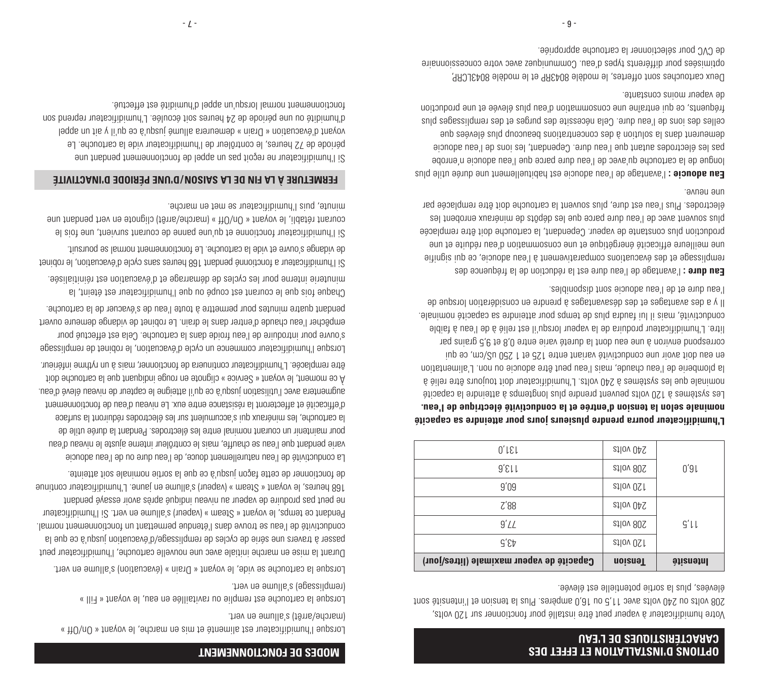#### **OPTIONS D'INSTALLATION ET EFFET DES CARACTÉRISTIQUES DE L'EAU**

Votre humidificateur à vapeur peut être installé pour fonctionner sur 120 volts, 208 volts ou 240 volts avec 11,5 ou 16,0 ampères. Plus la tension et l'intensité sont élevées, plus la sortie potentielle est élevée.

| Capacité de vapeur maximale (litres/jour) | <b>Tension</b> | lntensité |
|-------------------------------------------|----------------|-----------|
| ፈ3,5                                      | 20 volts       |           |
| 9'L                                       | 208 volts      | $G'$ ll   |
| Z'88                                      | 240 volts      |           |
| 9'09                                      | 20 volts       |           |
| $9'$ Ell                                  | 208 volts      | 0'9L      |
| $0'$ l $\varepsilon$ l                    | 240 volts      |           |

## **L'humidificateur pourra prendre plusieurs jours pour atteindre sa capacité nominale selon la tension d'entrée et la conductivité électrique de l'eau.**

Les systèmes à 120 volts peuvent prendre plus longtemps à atteindre la capacité nominale que les systèmes à 240 volts. L'humidificateur doit toujours être relié à la plomberie de l'eau chaude, mais l'eau peut être adoucie ou non. L'alimentation en eau doit avoir une conductivité variant entre 125 et 1250 uS/cm, ce qui correspond environ à une eau dont la dureté varie entre 0,8 et 9,5 grains par litre. L'humidificateur produira de la vapeur lorsqu'il est relié à de l'eau à faible conductivité, mais il lui faudra plus en capacité nous es capacité as capacité nous-Il y a des avantages et des désavantages à prendre en considération lorsque de l'eau dure et de l'eau adoucie sont disponibles.

l'avantage de l'eau dure est la réduction de la fréquence des **: Eau dure**  remplissage et des évacuations comparativement à l'eau adoucie, ce qui signifie une meilleure efficacité énergétique et une consommation d'eau réduite et une production plus constante de vapeur. Cependant, la cartouche doit être remplacée plus souvent avec de l'eau dure parce que les dépôts de minéraux enrobent les électrodes. Plus l'eau est dure, plus souvent la cartouche doit être remplacée par une neuve.

l'avantage de l'eau adoucie est habituellement une durée utile plus **: Eau adoucie**  longue de la cartouche qu'avec de l'eau dure parce que l'eau adoucie n'enrobe pas les électrodes autant que l'eau dure. Cependant, les ions de l'eau adoucie demeurent dans la solution à des concentrations beaucoup plus élevées que celles des ions de l'eau dure. Cela nécessaite des remblies et des remplissages plus fréquents, ce qui entraîne une consommation d'eau plus élevée et une production de vapeur moins constante.

Deux cartouches sont offertes, le modèle 8043RP et le modèle 8043LCRP, optimisées pour différents types d'eau. Communiquez avec votre concessionnaire de CVC pour sélectionner la cartouche appropriée.

#### **MODES DE FONCTIONNEMENT**

Lorsque l'humidificateur est alimenté et mis en marche, le voyant « On/Off » (marche/arrêt) s'allume en vert.

Lorsque la cartouche est remplie ou ravitaillée en eau, le voyant « Fill » (remplissage) s'allume en vert.

Lorsque la cartouche se vide, le voyant « Drain » (évacuation) s'allume en vert.

Durant la mise en marche initiale avec une nouvelle cartouche, l'humidificateur peut passer à travers une série de cycles de remplissage/d'évacuation jusqu'à ce que la conductivité de l'eau se trouve dans l'étendue permettant un fonctionnement normal. Pendant ce temps, le voyant « Steam » (vapeur) s'allume en vert. Si l'humidificateur ne peut pas produire de vapeur au niveau indiqué après avoir essayé pendant 168 heures, le voyant « Steam » (vapeur) s'allume en jaune. L'humidificateur continue de fonctionner de cette façon jusqu'à ce que la sortie nominale soit atteinte.

La conductivité de l'eau naturellement douce, de l'eau dure ou de l'eau adoucie varie pendant que l'eau se chauffe, mais le contrôleur interne ajuste le niveau d'eau pour maintenir un courant nominal entre les électrodes. Pendant la durée utile de la cartouche, les minéraux qui s'accumulent sur les électrodes réduiront la surface d'efficacité et affecteront la résistance entre eux. Le niveau d'eau de fonctionnement augmentera avec l'utilisation jusqu'à ce qu'il atteigne le capteur de niveau élevé d'eau. À ce moment, le voyant « Service » clignote en rouge indiquant que la cartouche doit être remplacée. L'humidificateur continuera de fonctionner, mais à un rythme inférieur.

Lorsque l'humidificateur commence un cycle d'évacuation, le robinet de remplissage s'ouvre pour introduire de l'eau froide dans la cartouche. Cela est effectué pour empêcher l'eau chaude d'entrer dans le drain. Le robinet de vidange demeure ouvert pendant quatre minutes pour permettre à toute l'eau de s'évacuer de la cartouche.

Chaque fois que le courant est coupé ou que l'humidificateur est éteint, la minuterie interne pour les cycles de démarrage et d'évacuation est réinitialisée. Si l'humidificateur a fonctionné pendant 168 heures sans cycle d'évacuation, le robinet

de vidange s'ouvre et vide la cartouche. Le fonctionnement normal se poursuit.

Si l'humidificateur fonctionne et qu'up a enned en courant survienn l'ois le courant rétabli, le voyant « On/Off » (marche/arrêt) clignote en vert pendant une minute, puis l'humidificateur se met en marche.

#### **FERMETURE À LA FIN DE LA SAISON/D'UNE PÉRIODE D'INACTIVITÉ**

Si l'humidificateur ne reçoit pas un appel de fonctionnement pendant une période de 72 heures, le contrôleur de l'humidificateur vide la cartouche. Le voyant d'évacuation « Drain » demeurera allumé jusqu'à ce qu'il y ait un appel d'humidité ou une période de 24 heures soit écoulée. L'humidificateur reprend son fonctionnement normal lorsqu'un appel d'humidité est effectué.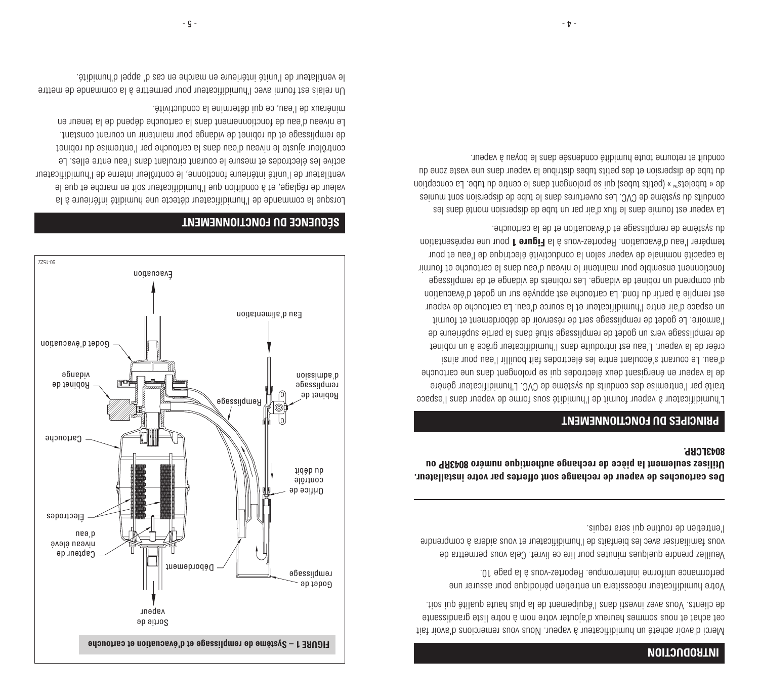#### **INTRODUCTION**

Merci d'avoir acheté un humidificateur à vapeur. Nous vous remercions d'avoir fait cet achat et nous sommes heureux d'ajouter votre nom à notre liste grandissante de clients. Vous avez investi dans l'équipement de la plus haute qualité qui soit.

Votre humidificateur nécessitera un entretien périodique pour assurer une performance uniforme ininterrompue. Reportez-vous à la page 10.

Veuillez prendre quelques minutes pour lire ce livret. Cela vous permettra de vous familiariser avec les bienfaits de l'humidificateur et vous aidera à comprendre l'entretien de routine qui sera requis.

**Des cartouches de vapeur de rechange sont offertes par votre installateur. Utilisez seulement la pièce de rechange authentique numéro 8043RP ou 8043LCRP.** 

#### **PRINCIPES DU FONCTIONNEMENT**

L'humidificateur à vapeur fournit de l'humidité sous forme de vapeur dans l'espace traité par l'entremise des conduits du système de CVC. L'humidificateur génère de la vapeur en énergisant deux électrodes qui se prolongent dans une cartouche d'eau. Le courant s'écoulant entre les électrodes fait bouillir l'eau pour ainsi créer de la vapeur. L'eau est introduite dans l'humidificateur grâce à un robinet de remplissage vers un godet de remplissage situé dans la partie supérieure de l'armoire. Le godet de remplissage sert de réservoir de débordement et fournit un espace d'air entre l'humidificateur et la source d'eau. La cartouche de vapeur est remplie à partir du fond. La cartouche est appuyée sur un godet d'évacuation qui comprend un robinet de vidange. Les robinets de vidange et de remplissage fonctionnent ensemble pour maintenir le niveau d'eau dans la cartouche et fournir la capacité nominale de vapeur selon la conductivité électrique de l'eau et pour tempérer l'eau d'évacuation. Reportez-vous à la **Figure 1** pour une représentation du système de remplissage et d'évacuation et de la cartouche.

La vapeur est fournie dans le flux d'air par un tube de dispersion monté dans les conduits du sube de CVC. Les ouvertures dans le tube de dispersion sont munies tubelets de « ™ » (petits tubes) qui se prolongent dans le centre du tube. La conception du tube de dispersion et des petits tubes distribue la vapeur dans une vaste zone du conduit et retourne tout e tubinité condensée dans le boyau à vapeur.



#### **SÉQUENCE DU FONCTIONNEMENT**

Lorsque la commande de l'humidificateur détecte une humidité inférieure à la valeur de réglage, et à condition que l'humidificateur soit en marche et que le ventilateur de l'unité intérieure fonctionne, le contrôleur interne de l'humidificateur active les électrodes et mesure le courant circulant dans l'eau entre elles. Le contrôleur ajuste le niveau d'eau dans la cartouche par l'entremise du robinet de remplissage et du robinet de vidange pour maintenir un courant constant. Le niveau d'eau de fonctionnement dans la cartouche dépend de la teneur en minéraux de l'eau, ce qui détermine la conductivité.

Un relais est fourni avec l'humidificateur pour permettre à la commande de mettre le ventilateur de l'unité intérieure en marche en cas d' appel d'humidité.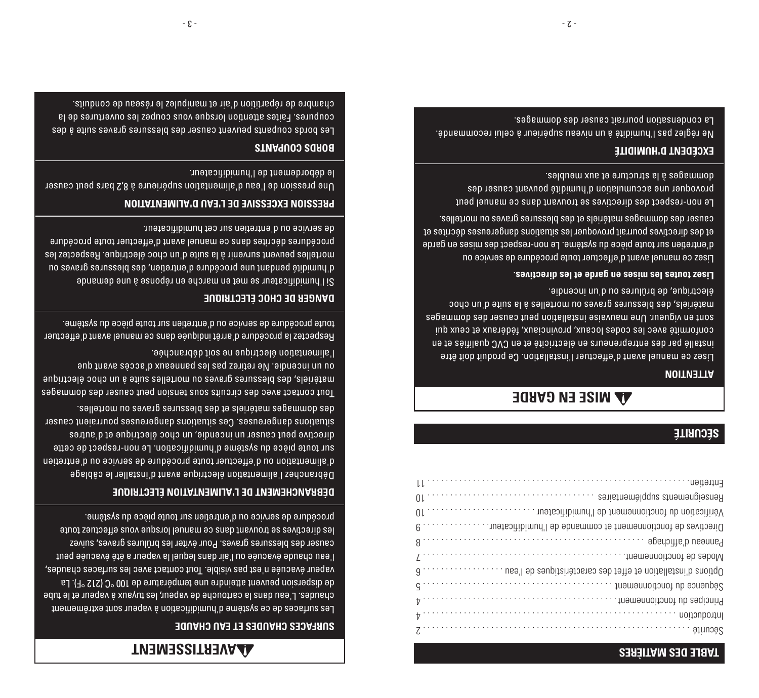#### **TABLE DES MATIÈRES**

| Οl              | Renseignements supplémentaires<br>,,,,,,,,,,,,,,,,,,,,,,,,,,,,,,, |
|-----------------|-------------------------------------------------------------------|
| Οl              |                                                                   |
|                 | Directives de foncionnement et commande de l'humibificateur       |
|                 |                                                                   |
| $\iota$         | Modes de fonctionnement                                           |
|                 |                                                                   |
|                 |                                                                   |
|                 |                                                                   |
|                 | Introduction                                                      |
| z · · · · · · · | Sécurité                                                          |
|                 |                                                                   |

#### **SÉCURITÉ**

# **AA MISE EN GARDE**

11 . . . . . . . . . . . . . . . . . . . . . . . . . . . . . . . . . . . . . . . . . . . . . . . . . . . . . . . . . . Entretien

#### **ATTENTION**

Lisez ce manuel avant d'effectuer l'installation. Ce produit doit être installé par des entrepreneurs en électricité et en CVC qualifiés et en conformité avec les codes locaux, provinciaux, fédéraux et ceux qui sont en vigueur. Une mauvaise installation peut causer des dommages matériels, des blessures graves ou mortelles à la suite d'un choc électrique, de brûlures ou d'un incendie.

#### **Lisez toutes les mises en garde et les directives.**

Lisez ce manuel avant d'effectuer toute procédure de service ou d'entretien sur toute pièce du système. Le non-respect des mises en garde et des directives pourrait provoquer les situations dangereuses décrites et causer des dommages matériels et des blessures graves ou mortelles.

Le non-respect des directives se trouvant dans ce manuel peut provodner une accumulation d'humidité pouvant des dommages à la structure et aux meubles.

#### **EXCÉDENT D'HUMIDITÉ**

Ne réglez pas l'humidité à un niveau supérieur à celui recommandé. La condensation pourrait causer des dommages.

# **AVERTISSEMENT**

#### **SURFACES CHAUDES ET EAU CHAUDE**

Les surfaces de ce système d'humidification à vapeur sont extrêmement chaudes. L'eau dans la cartouche de vapeur, les tuyaux à vapeur et le tube de dispersion peuvent atteindre une température de 100 °C (212 °F). La vapeur évacuée n'est pas visible. Tout contact avec les surfaces chaudes, l'eau chaude évacuée ou l'air dans lequel la vapeur a été évacuée peut causer des blessures graves. Pour éviter les brûlures graves, suivez les directives se trouvant dans ce manuel lorsque vous effectuez toute procédure de service ou d'entretien sur toute pièce du système.

#### **DÉBRANCHEMENT DE L'ALIMENTATION ÉLECTRIQUE**

Débranchez l'alimentation électrique avant d'installer le câblage d'alimentation ou d'effectuer toute procédure de service ou d'entretien sur toute pièce du système d'humidification. Le non-respect de cette directive peut causer un incendie, un choc électrique et d'autres situations dangereuses. Ces situations dangereuses pourraient causer des dommages matériels et des blessures graves ou mortelles.

Tout contact avec des circuits sous tension peut causer des dommages matériels, des blessures graves ou mortelles suite à un choc électrique on nu juene sasse, p xneauued sal and sanital and captain un no l'alimentation électrique ne soit débranchée.

Respectez la procédure d'arrêt indiquée dans ce manuel avant d'effectuer toute procédure de service ou d'entretien sur toute pièce du système.

#### **DANGER DE CHOC ÉLECTRIQUE**

Si l'humidificateur se met en marche en réponse à une demande d'humidité pendant une buccedure d'entretien, des plessurs on mortelles peuvent survenir à la suite d'un choc électrique. Respectez les procédures décrites dans ce manuel avant d'effectuer toute procédure de service ou d'entretien sur cet humidificateur.

### **PRESSION EXCESSIVE DE L'EAU D'ALIMENTATION**

Une pression de l'eau d'alimentation supérieure à 8,2 bars peut causer le débordement de l'humidificateur.

#### **BORDS COUPANTS**

Les bords coupants peuvent causer des blessures graves suite à des coupures. Faites attention lorsque vous coupez les ouvertures de la chambre de répartition d'air et manipulez le réseau de conduits.